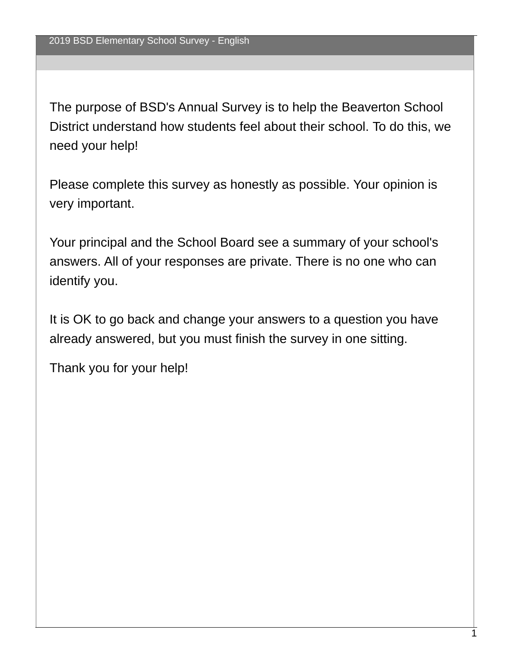The purpose of BSD's Annual Survey is to help the Beaverton School District understand how students feel about their school. To do this, we need your help!

Please complete this survey as honestly as possible. Your opinion is very important.

Your principal and the School Board see a summary of your school's answers. All of your responses are private. There is no one who can identify you.

It is OK to go back and change your answers to a question you have already answered, but you must finish the survey in one sitting.

Thank you for your help!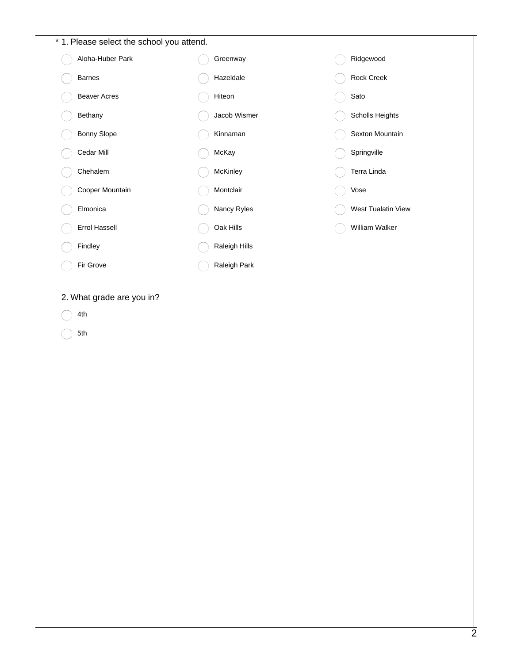| * 1. Please select the school you attend. |  |               |  |                    |  |  |
|-------------------------------------------|--|---------------|--|--------------------|--|--|
| Aloha-Huber Park                          |  | Greenway      |  | Ridgewood          |  |  |
| <b>Barnes</b>                             |  | Hazeldale     |  | Rock Creek         |  |  |
| <b>Beaver Acres</b>                       |  | Hiteon        |  | Sato               |  |  |
| Bethany                                   |  | Jacob Wismer  |  | Scholls Heights    |  |  |
| <b>Bonny Slope</b>                        |  | Kinnaman      |  | Sexton Mountain    |  |  |
| Cedar Mill                                |  | McKay         |  | Springville        |  |  |
| Chehalem                                  |  | McKinley      |  | Terra Linda        |  |  |
| Cooper Mountain                           |  | Montclair     |  | Vose               |  |  |
| Elmonica                                  |  | Nancy Ryles   |  | West Tualatin View |  |  |
| Errol Hassell                             |  | Oak Hills     |  | William Walker     |  |  |
| Findley                                   |  | Raleigh Hills |  |                    |  |  |
| Fir Grove                                 |  | Raleigh Park  |  |                    |  |  |

# 2. What grade are you in?

4th ⌒

5th  $\bigcirc$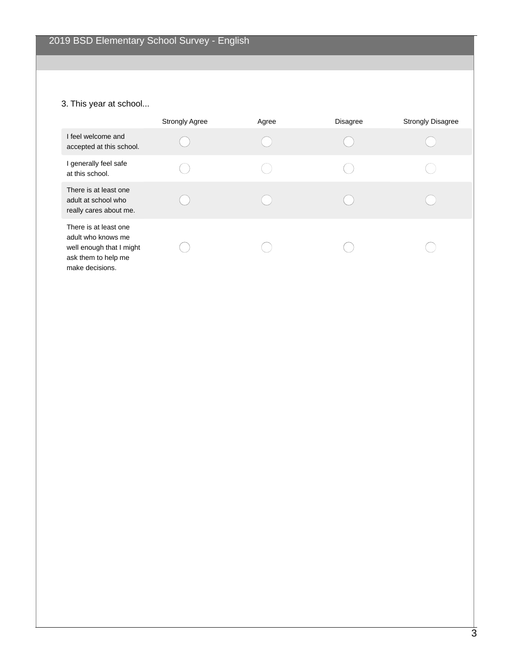# 3. This year at school...

|                                                                                                                   | <b>Strongly Agree</b> | Agree | <b>Disagree</b> | <b>Strongly Disagree</b> |
|-------------------------------------------------------------------------------------------------------------------|-----------------------|-------|-----------------|--------------------------|
| I feel welcome and<br>accepted at this school.                                                                    |                       |       |                 |                          |
| I generally feel safe<br>at this school.                                                                          |                       |       |                 |                          |
| There is at least one<br>adult at school who<br>really cares about me.                                            |                       |       |                 |                          |
| There is at least one<br>adult who knows me<br>well enough that I might<br>ask them to help me<br>make decisions. |                       |       |                 |                          |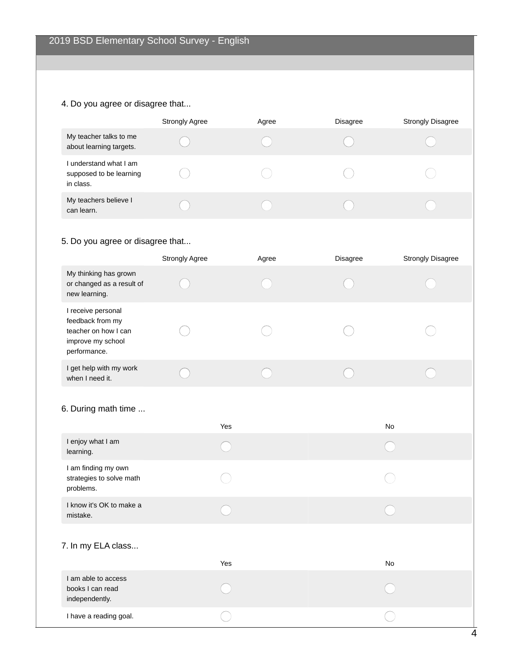#### 4. Do you agree or disagree that...

|                                                                | <b>Strongly Agree</b> | Agree | <b>Disagree</b> | <b>Strongly Disagree</b> |
|----------------------------------------------------------------|-----------------------|-------|-----------------|--------------------------|
| My teacher talks to me<br>about learning targets.              |                       |       |                 |                          |
| I understand what I am<br>supposed to be learning<br>in class. |                       |       |                 |                          |
| My teachers believe I<br>can learn.                            |                       |       |                 |                          |

# 5. Do you agree or disagree that...

|                                                                                                     | <b>Strongly Agree</b> | Agree | <b>Disagree</b> | <b>Strongly Disagree</b> |
|-----------------------------------------------------------------------------------------------------|-----------------------|-------|-----------------|--------------------------|
| My thinking has grown<br>or changed as a result of<br>new learning.                                 |                       |       |                 |                          |
| I receive personal<br>feedback from my<br>teacher on how I can<br>improve my school<br>performance. |                       |       |                 |                          |
| I get help with my work<br>when I need it.                                                          |                       |       |                 |                          |

#### 6. During math time ...

|                                                              | Yes | No |
|--------------------------------------------------------------|-----|----|
| I enjoy what I am<br>learning.                               |     |    |
| I am finding my own<br>strategies to solve math<br>problems. |     |    |
| I know it's OK to make a<br>mistake.                         |     |    |
| 7. In my ELA class                                           | Yes | No |
| I am able to access<br>books I can read<br>independently.    |     |    |
| I have a reading goal.                                       |     |    |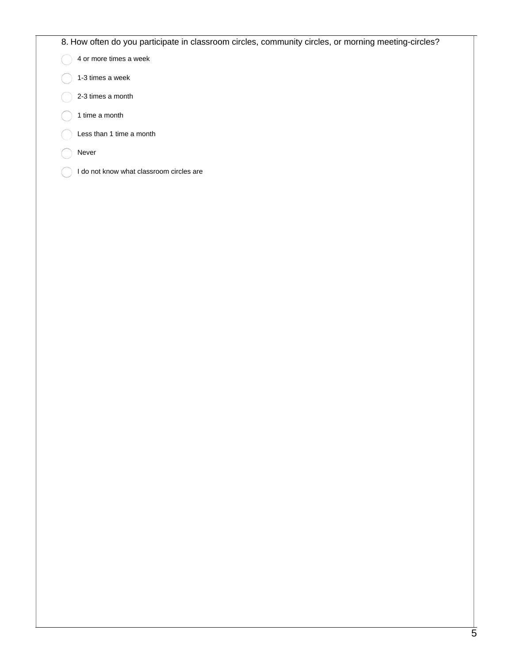#### 8. How often do you participate in classroom circles, community circles, or morning meeting-circles?

 $\bigcirc$ 4 or more times a week

- 1-3 times a week
- 2-3 times a month
- 1 time a month
- Less than 1 time a month
- Never
- I do not know what classroom circles are  $( )$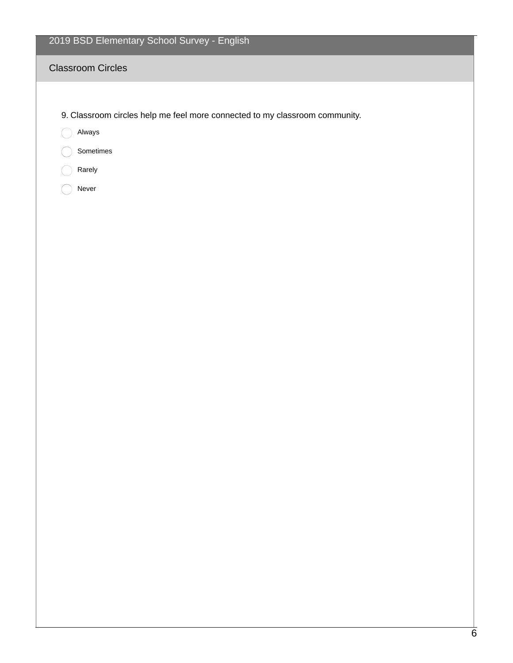# 2019 BSD Elementary School Survey - English

#### Classroom Circles

9. Classroom circles help me feel more connected to my classroom community.

Always

- Sometimes
- Rarely
- Never  $\bigcirc$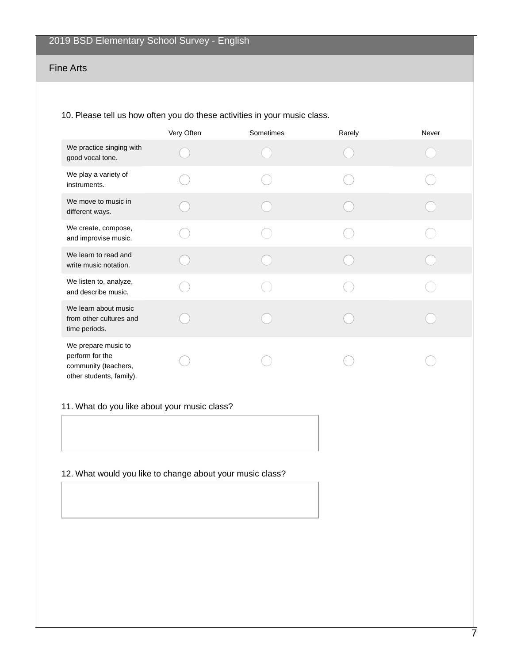#### Fine Arts

#### 10. Please tell us how often you do these activities in your music class.

|                                                                                            | Very Often | Sometimes | Rarely | Never |
|--------------------------------------------------------------------------------------------|------------|-----------|--------|-------|
| We practice singing with<br>good vocal tone.                                               |            |           |        |       |
| We play a variety of<br>instruments.                                                       |            |           |        |       |
| We move to music in<br>different ways.                                                     |            |           |        |       |
| We create, compose,<br>and improvise music.                                                |            |           |        |       |
| We learn to read and<br>write music notation.                                              |            |           |        |       |
| We listen to, analyze,<br>and describe music.                                              |            |           |        |       |
| We learn about music<br>from other cultures and<br>time periods.                           |            |           |        |       |
| We prepare music to<br>perform for the<br>community (teachers,<br>other students, family). |            |           |        |       |

#### 11. What do you like about your music class?

# 12. What would you like to change about your music class?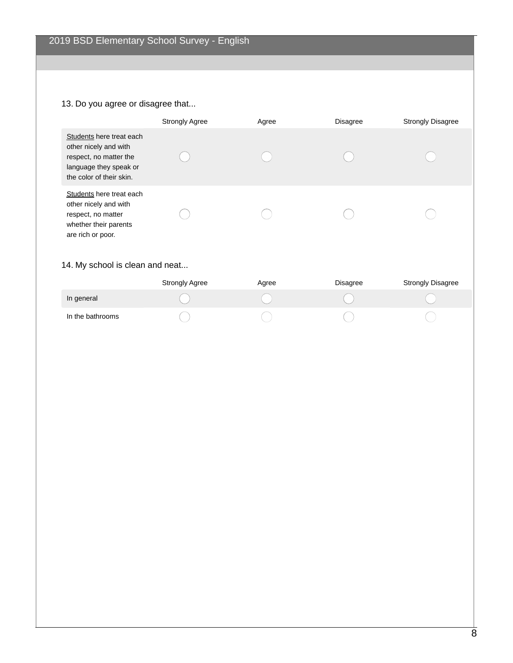# 13. Do you agree or disagree that...

|                                                                                                                                   | <b>Strongly Agree</b> | Agree | <b>Disagree</b> | <b>Strongly Disagree</b> |
|-----------------------------------------------------------------------------------------------------------------------------------|-----------------------|-------|-----------------|--------------------------|
| Students here treat each<br>other nicely and with<br>respect, no matter the<br>language they speak or<br>the color of their skin. |                       |       |                 |                          |
| Students here treat each<br>other nicely and with<br>respect, no matter<br>whether their parents<br>are rich or poor.             |                       |       |                 |                          |

# 14. My school is clean and neat...

|                  | <b>Strongly Agree</b> | Agree | Disagree | <b>Strongly Disagree</b> |
|------------------|-----------------------|-------|----------|--------------------------|
| In general       |                       |       |          |                          |
| In the bathrooms |                       |       |          |                          |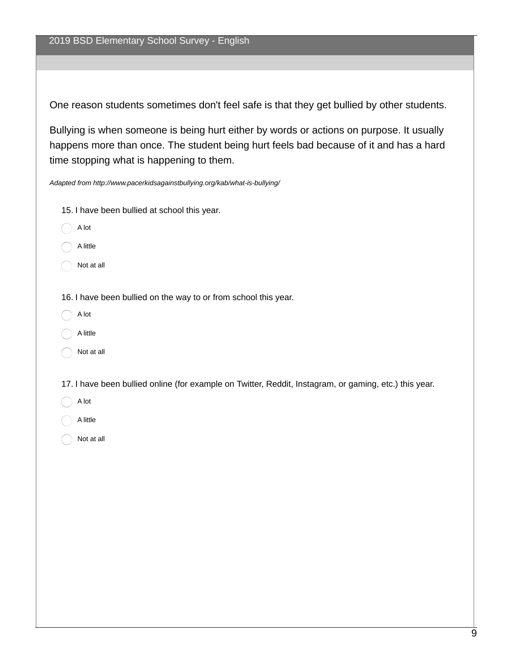One reason students sometimes don't feel safe is that they get bullied by other students.

Bullying is when someone is being hurt either by words or actions on purpose. It usually happens more than once. The student being hurt feels bad because of it and has a hard time stopping what is happening to them.

*Adapted from http://www.pacerkidsagainstbullying.org/kab/what-is-bullying/*

- 15. I have been bullied at school this year.
- A lot
- A little
- Not at all
- 16. I have been bullied on the way to or from school this year.
- A lot
- A little
- Not at all

17. I have been bullied online (for example on Twitter, Reddit, Instagram, or gaming, etc.) this year.

- A lot
- A little
- Not at all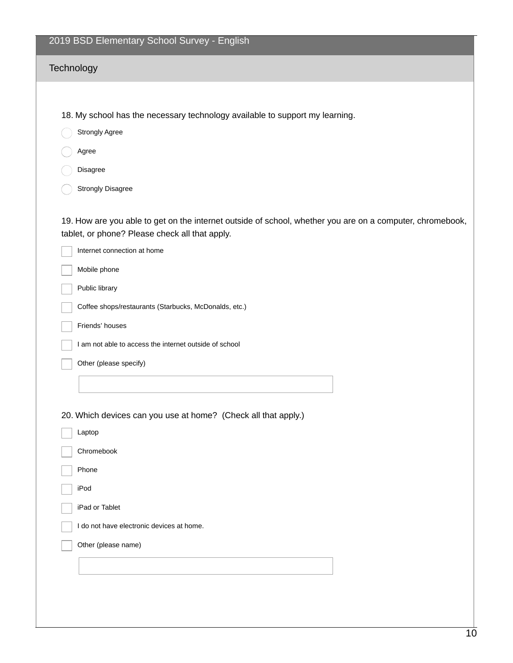| 2019 BSD Elementary School Survey - English                                                                                                                 |
|-------------------------------------------------------------------------------------------------------------------------------------------------------------|
| Technology                                                                                                                                                  |
|                                                                                                                                                             |
| 18. My school has the necessary technology available to support my learning.                                                                                |
| <b>Strongly Agree</b>                                                                                                                                       |
| Agree                                                                                                                                                       |
| Disagree                                                                                                                                                    |
| <b>Strongly Disagree</b>                                                                                                                                    |
| 19. How are you able to get on the internet outside of school, whether you are on a computer, chromebook,<br>tablet, or phone? Please check all that apply. |
| Internet connection at home                                                                                                                                 |
| Mobile phone                                                                                                                                                |
| Public library                                                                                                                                              |
| Coffee shops/restaurants (Starbucks, McDonalds, etc.)                                                                                                       |
| Friends' houses                                                                                                                                             |
| I am not able to access the internet outside of school                                                                                                      |
| Other (please specify)                                                                                                                                      |
|                                                                                                                                                             |
|                                                                                                                                                             |
| 20. Which devices can you use at home? (Check all that apply.)                                                                                              |
| Laptop                                                                                                                                                      |
| Chromebook                                                                                                                                                  |
| Phone                                                                                                                                                       |
| iPod                                                                                                                                                        |
| iPad or Tablet                                                                                                                                              |
| I do not have electronic devices at home.                                                                                                                   |
| Other (please name)                                                                                                                                         |
|                                                                                                                                                             |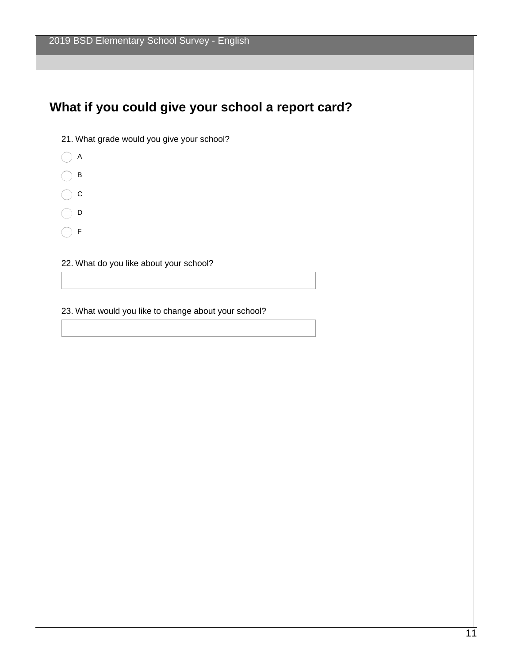# **What if you could give your school a report card?**



- $\bigcap$  A
- $\bigcap$  B
- $\bigcirc$  c
- $\bigcap$  D
- $\bigcap$  F

22. What do you like about your school?

23. What would you like to change about your school?